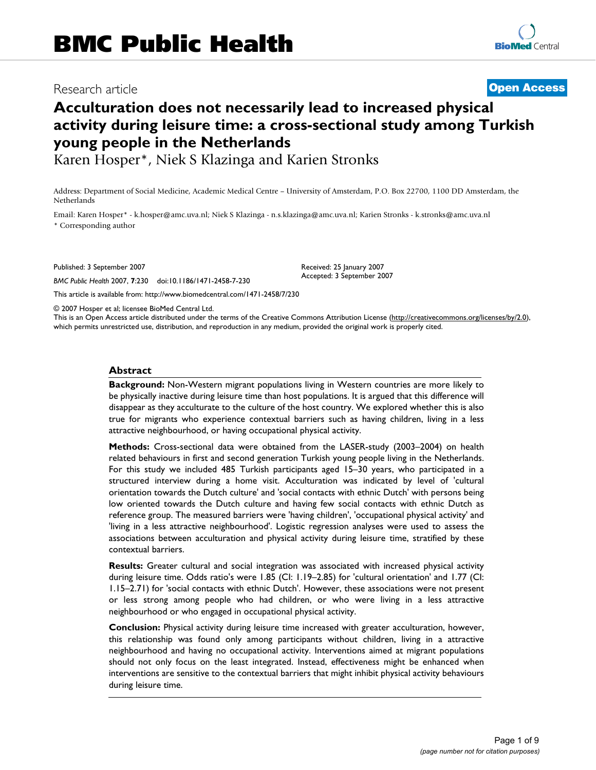# Research article **[Open Access](http://www.biomedcentral.com/info/about/charter/)**

# **Acculturation does not necessarily lead to increased physical activity during leisure time: a cross-sectional study among Turkish young people in the Netherlands**

Karen Hosper\*, Niek S Klazinga and Karien Stronks

Address: Department of Social Medicine, Academic Medical Centre – University of Amsterdam, P.O. Box 22700, 1100 DD Amsterdam, the Netherlands

Email: Karen Hosper\* - k.hosper@amc.uva.nl; Niek S Klazinga - n.s.klazinga@amc.uva.nl; Karien Stronks - k.stronks@amc.uva.nl \* Corresponding author

Published: 3 September 2007

*BMC Public Health* 2007, **7**:230 doi:10.1186/1471-2458-7-230

[This article is available from: http://www.biomedcentral.com/1471-2458/7/230](http://www.biomedcentral.com/1471-2458/7/230)

© 2007 Hosper et al; licensee BioMed Central Ltd.

This is an Open Access article distributed under the terms of the Creative Commons Attribution License [\(http://creativecommons.org/licenses/by/2.0\)](http://creativecommons.org/licenses/by/2.0), which permits unrestricted use, distribution, and reproduction in any medium, provided the original work is properly cited.

Received: 25 January 2007 Accepted: 3 September 2007

#### **Abstract**

**Background:** Non-Western migrant populations living in Western countries are more likely to be physically inactive during leisure time than host populations. It is argued that this difference will disappear as they acculturate to the culture of the host country. We explored whether this is also true for migrants who experience contextual barriers such as having children, living in a less attractive neighbourhood, or having occupational physical activity.

**Methods:** Cross-sectional data were obtained from the LASER-study (2003–2004) on health related behaviours in first and second generation Turkish young people living in the Netherlands. For this study we included 485 Turkish participants aged 15–30 years, who participated in a structured interview during a home visit. Acculturation was indicated by level of 'cultural orientation towards the Dutch culture' and 'social contacts with ethnic Dutch' with persons being low oriented towards the Dutch culture and having few social contacts with ethnic Dutch as reference group. The measured barriers were 'having children', 'occupational physical activity' and 'living in a less attractive neighbourhood'. Logistic regression analyses were used to assess the associations between acculturation and physical activity during leisure time, stratified by these contextual barriers.

**Results:** Greater cultural and social integration was associated with increased physical activity during leisure time. Odds ratio's were 1.85 (CI: 1.19–2.85) for 'cultural orientation' and 1.77 (CI: 1.15–2.71) for 'social contacts with ethnic Dutch'. However, these associations were not present or less strong among people who had children, or who were living in a less attractive neighbourhood or who engaged in occupational physical activity.

**Conclusion:** Physical activity during leisure time increased with greater acculturation, however, this relationship was found only among participants without children, living in a attractive neighbourhood and having no occupational activity. Interventions aimed at migrant populations should not only focus on the least integrated. Instead, effectiveness might be enhanced when interventions are sensitive to the contextual barriers that might inhibit physical activity behaviours during leisure time.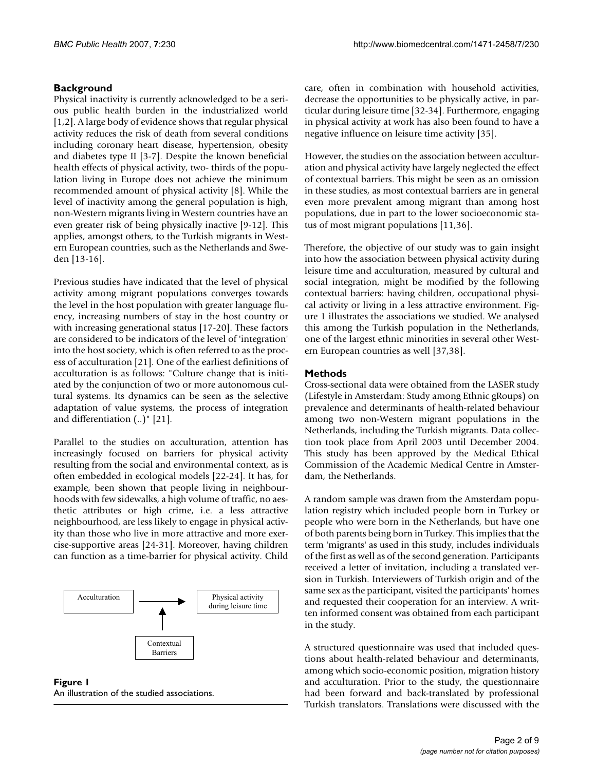# **Background**

Physical inactivity is currently acknowledged to be a serious public health burden in the industrialized world [1,2]. A large body of evidence shows that regular physical activity reduces the risk of death from several conditions including coronary heart disease, hypertension, obesity and diabetes type II [3-7]. Despite the known beneficial health effects of physical activity, two- thirds of the population living in Europe does not achieve the minimum recommended amount of physical activity [8]. While the level of inactivity among the general population is high, non-Western migrants living in Western countries have an even greater risk of being physically inactive [9-12]. This applies, amongst others, to the Turkish migrants in Western European countries, such as the Netherlands and Sweden [13-16].

Previous studies have indicated that the level of physical activity among migrant populations converges towards the level in the host population with greater language fluency, increasing numbers of stay in the host country or with increasing generational status [17-20]. These factors are considered to be indicators of the level of 'integration' into the host society, which is often referred to as the process of acculturation [21]. One of the earliest definitions of acculturation is as follows: "Culture change that is initiated by the conjunction of two or more autonomous cultural systems. Its dynamics can be seen as the selective adaptation of value systems, the process of integration and differentiation (..)" [21].

Parallel to the studies on acculturation, attention has increasingly focused on barriers for physical activity resulting from the social and environmental context, as is often embedded in ecological models [22-24]. It has, for example, been shown that people living in neighbourhoods with few sidewalks, a high volume of traffic, no aesthetic attributes or high crime, i.e. a less attractive neighbourhood, are less likely to engage in physical activity than those who live in more attractive and more exercise-supportive areas [24-31]. Moreover, having children can function as a time-barrier for physical activity. Child



**Figure 1** An illustration of the studied associations.

care, often in combination with household activities, decrease the opportunities to be physically active, in particular during leisure time [32-34]. Furthermore, engaging in physical activity at work has also been found to have a negative influence on leisure time activity [35].

However, the studies on the association between acculturation and physical activity have largely neglected the effect of contextual barriers. This might be seen as an omission in these studies, as most contextual barriers are in general even more prevalent among migrant than among host populations, due in part to the lower socioeconomic status of most migrant populations [11,36].

Therefore, the objective of our study was to gain insight into how the association between physical activity during leisure time and acculturation, measured by cultural and social integration, might be modified by the following contextual barriers: having children, occupational physical activity or living in a less attractive environment. Figure 1 illustrates the associations we studied. We analysed this among the Turkish population in the Netherlands, one of the largest ethnic minorities in several other Western European countries as well [37,38].

# **Methods**

Cross-sectional data were obtained from the LASER study (Lifestyle in Amsterdam: Study among Ethnic gRoups) on prevalence and determinants of health-related behaviour among two non-Western migrant populations in the Netherlands, including the Turkish migrants. Data collection took place from April 2003 until December 2004. This study has been approved by the Medical Ethical Commission of the Academic Medical Centre in Amsterdam, the Netherlands.

A random sample was drawn from the Amsterdam population registry which included people born in Turkey or people who were born in the Netherlands, but have one of both parents being born in Turkey. This implies that the term 'migrants' as used in this study, includes individuals of the first as well as of the second generation. Participants received a letter of invitation, including a translated version in Turkish. Interviewers of Turkish origin and of the same sex as the participant, visited the participants' homes and requested their cooperation for an interview. A written informed consent was obtained from each participant in the study.

A structured questionnaire was used that included questions about health-related behaviour and determinants, among which socio-economic position, migration history and acculturation. Prior to the study, the questionnaire had been forward and back-translated by professional Turkish translators. Translations were discussed with the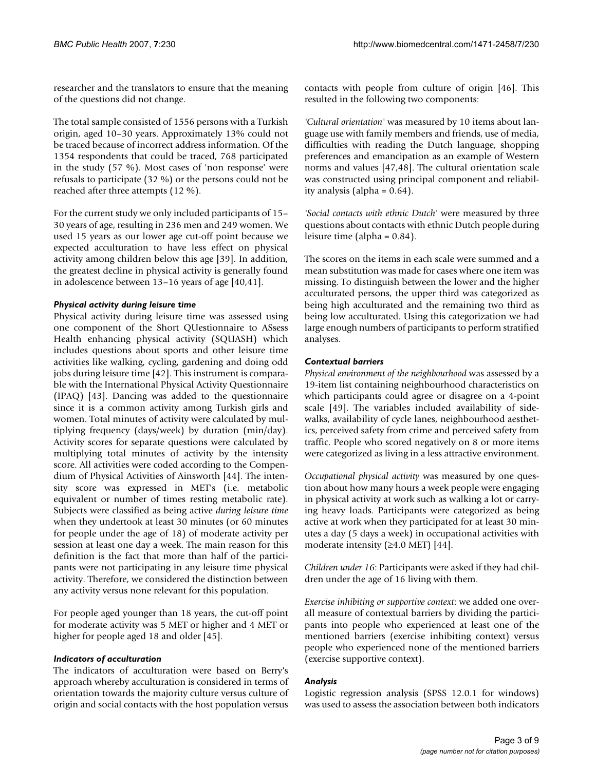researcher and the translators to ensure that the meaning of the questions did not change.

The total sample consisted of 1556 persons with a Turkish origin, aged 10–30 years. Approximately 13% could not be traced because of incorrect address information. Of the 1354 respondents that could be traced, 768 participated in the study (57 %). Most cases of 'non response' were refusals to participate (32 %) or the persons could not be reached after three attempts (12 %).

For the current study we only included participants of 15– 30 years of age, resulting in 236 men and 249 women. We used 15 years as our lower age cut-off point because we expected acculturation to have less effect on physical activity among children below this age [39]. In addition, the greatest decline in physical activity is generally found in adolescence between 13–16 years of age [40,41].

# *Physical activity during leisure time*

Physical activity during leisure time was assessed using one component of the Short QUestionnaire to ASsess Health enhancing physical activity (SQUASH) which includes questions about sports and other leisure time activities like walking, cycling, gardening and doing odd jobs during leisure time [42]. This instrument is comparable with the International Physical Activity Questionnaire (IPAQ) [43]. Dancing was added to the questionnaire since it is a common activity among Turkish girls and women. Total minutes of activity were calculated by multiplying frequency (days/week) by duration (min/day). Activity scores for separate questions were calculated by multiplying total minutes of activity by the intensity score. All activities were coded according to the Compendium of Physical Activities of Ainsworth [44]. The intensity score was expressed in MET's (i.e. metabolic equivalent or number of times resting metabolic rate). Subjects were classified as being active *during leisure time* when they undertook at least 30 minutes (or 60 minutes for people under the age of 18) of moderate activity per session at least one day a week. The main reason for this definition is the fact that more than half of the participants were not participating in any leisure time physical activity. Therefore, we considered the distinction between any activity versus none relevant for this population.

For people aged younger than 18 years, the cut-off point for moderate activity was 5 MET or higher and 4 MET or higher for people aged 18 and older [45].

# *Indicators of acculturation*

The indicators of acculturation were based on Berry's approach whereby acculturation is considered in terms of orientation towards the majority culture versus culture of origin and social contacts with the host population versus contacts with people from culture of origin [46]. This resulted in the following two components:

*'Cultural orientation'* was measured by 10 items about language use with family members and friends, use of media, difficulties with reading the Dutch language, shopping preferences and emancipation as an example of Western norms and values [47,48]. The cultural orientation scale was constructed using principal component and reliability analysis (alpha = 0.64).

*'Social contacts with ethnic Dutch'* were measured by three questions about contacts with ethnic Dutch people during leisure time (alpha = 0.84).

The scores on the items in each scale were summed and a mean substitution was made for cases where one item was missing. To distinguish between the lower and the higher acculturated persons, the upper third was categorized as being high acculturated and the remaining two third as being low acculturated. Using this categorization we had large enough numbers of participants to perform stratified analyses.

# *Contextual barriers*

*Physical environment of the neighbourhood* was assessed by a 19-item list containing neighbourhood characteristics on which participants could agree or disagree on a 4-point scale [49]. The variables included availability of sidewalks, availability of cycle lanes, neighbourhood aesthetics, perceived safety from crime and perceived safety from traffic. People who scored negatively on 8 or more items were categorized as living in a less attractive environment.

*Occupational physical activity* was measured by one question about how many hours a week people were engaging in physical activity at work such as walking a lot or carrying heavy loads. Participants were categorized as being active at work when they participated for at least 30 minutes a day (5 days a week) in occupational activities with moderate intensity  $(≥4.0$  MET) [44].

*Children under 16*: Participants were asked if they had children under the age of 16 living with them.

*Exercise inhibiting or supportive context*: we added one overall measure of contextual barriers by dividing the participants into people who experienced at least one of the mentioned barriers (exercise inhibiting context) versus people who experienced none of the mentioned barriers (exercise supportive context).

# *Analysis*

Logistic regression analysis (SPSS 12.0.1 for windows) was used to assess the association between both indicators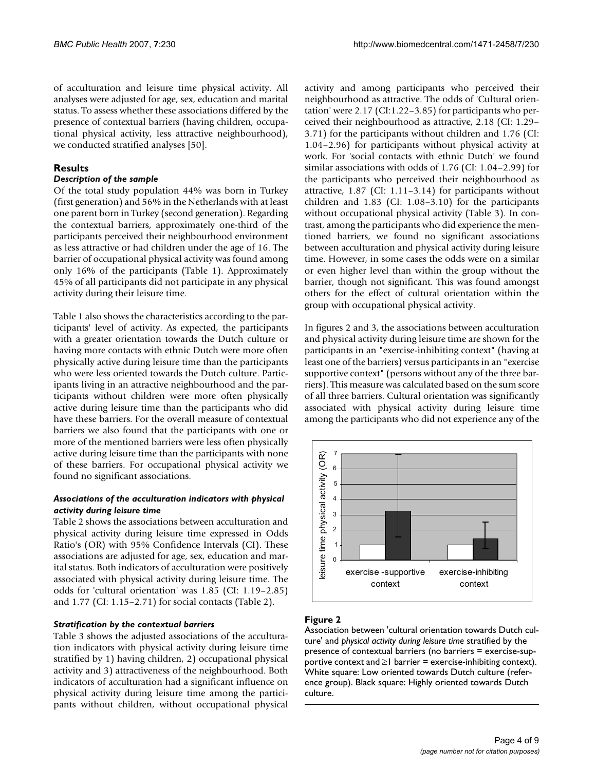of acculturation and leisure time physical activity. All analyses were adjusted for age, sex, education and marital status. To assess whether these associations differed by the presence of contextual barriers (having children, occupational physical activity, less attractive neighbourhood), we conducted stratified analyses [50].

# **Results**

# *Description of the sample*

Of the total study population 44% was born in Turkey (first generation) and 56% in the Netherlands with at least one parent born in Turkey (second generation). Regarding the contextual barriers, approximately one-third of the participants perceived their neighbourhood environment as less attractive or had children under the age of 16. The barrier of occupational physical activity was found among only 16% of the participants (Table 1). Approximately 45% of all participants did not participate in any physical activity during their leisure time.

Table 1 also shows the characteristics according to the participants' level of activity. As expected, the participants with a greater orientation towards the Dutch culture or having more contacts with ethnic Dutch were more often physically active during leisure time than the participants who were less oriented towards the Dutch culture. Participants living in an attractive neighbourhood and the participants without children were more often physically active during leisure time than the participants who did have these barriers. For the overall measure of contextual barriers we also found that the participants with one or more of the mentioned barriers were less often physically active during leisure time than the participants with none of these barriers. For occupational physical activity we found no significant associations.

# *Associations of the acculturation indicators with physical activity during leisure time*

Table 2 shows the associations between acculturation and physical activity during leisure time expressed in Odds Ratio's (OR) with 95% Confidence Intervals (CI). These associations are adjusted for age, sex, education and marital status. Both indicators of acculturation were positively associated with physical activity during leisure time. The odds for 'cultural orientation' was 1.85 (CI: 1.19–2.85) and 1.77 (CI: 1.15–2.71) for social contacts (Table 2).

#### *Stratification by the contextual barriers*

Table 3 shows the adjusted associations of the acculturation indicators with physical activity during leisure time stratified by 1) having children, 2) occupational physical activity and 3) attractiveness of the neighbourhood. Both indicators of acculturation had a significant influence on physical activity during leisure time among the participants without children, without occupational physical

activity and among participants who perceived their neighbourhood as attractive. The odds of 'Cultural orientation' were 2.17 (CI:1.22–3.85) for participants who perceived their neighbourhood as attractive, 2.18 (CI: 1.29– 3.71) for the participants without children and 1.76 (CI: 1.04–2.96) for participants without physical activity at work. For 'social contacts with ethnic Dutch' we found similar associations with odds of 1.76 (CI: 1.04–2.99) for the participants who perceived their neighbourhood as attractive, 1.87 (CI: 1.11–3.14) for participants without children and 1.83 (CI: 1.08–3.10) for the participants without occupational physical activity (Table 3). In contrast, among the participants who did experience the mentioned barriers, we found no significant associations between acculturation and physical activity during leisure time. However, in some cases the odds were on a similar or even higher level than within the group without the barrier, though not significant. This was found amongst others for the effect of cultural orientation within the group with occupational physical activity.

In figures 2 and 3, the associations between acculturation and physical activity during leisure time are shown for the participants in an "exercise-inhibiting context" (having at least one of the barriers) versus participants in an "exercise supportive context" (persons without any of the three barriers). This measure was calculated based on the sum score of all three barriers. Cultural orientation was significantly associated with physical activity during leisure time among the participants who did not experience any of the



# Figure 2

Association between 'cultural orientation towards Dutch culture' and *physical activity during leisure time* stratified by the presence of contextual barriers (no barriers = exercise-supportive context and  $\geq 1$  barrier = exercise-inhibiting context). White square: Low oriented towards Dutch culture (reference group). Black square: Highly oriented towards Dutch culture.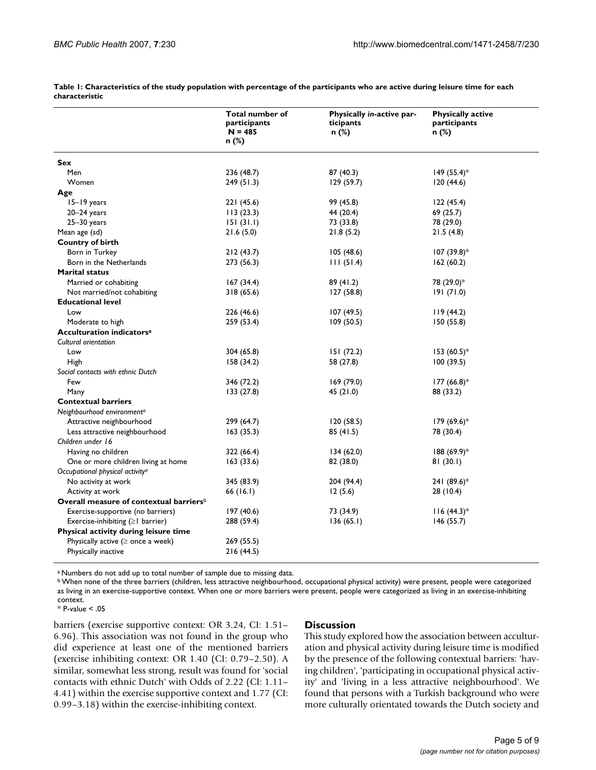|                                                     | Total number of<br>participants<br>$N = 485$<br>n (%) | Physically in-active par-<br>ticipants<br>n (%) | <b>Physically active</b><br>participants<br>n (%) |
|-----------------------------------------------------|-------------------------------------------------------|-------------------------------------------------|---------------------------------------------------|
| Sex                                                 |                                                       |                                                 |                                                   |
| Men                                                 | 236 (48.7)                                            | 87 (40.3)                                       | $149(55.4)$ *                                     |
| Women                                               | 249(51.3)                                             | 129(59.7)                                       | 120(44.6)                                         |
| Age                                                 |                                                       |                                                 |                                                   |
| 15-19 years                                         | 221 (45.6)                                            | 99 (45.8)                                       | 122(45.4)                                         |
| $20 - 24$ years                                     | 113(23.3)                                             | 44 (20.4)                                       | 69 (25.7)                                         |
| $25 - 30$ years                                     | 151(31.1)                                             | 73 (33.8)                                       | 78 (29.0)                                         |
| Mean age (sd)                                       | 21.6(5.0)                                             | 21.8(5.2)                                       | 21.5(4.8)                                         |
| Country of birth                                    |                                                       |                                                 |                                                   |
| Born in Turkey                                      | 212(43.7)                                             | 105(48.6)                                       | $107(39.8)*$                                      |
| Born in the Netherlands                             | 273 (56.3)                                            | 111(51.4)                                       | 162(60.2)                                         |
| <b>Marital status</b>                               |                                                       |                                                 |                                                   |
| Married or cohabiting                               | 167(34.4)                                             | 89(41.2)                                        | 78 (29.0)*                                        |
| Not married/not cohabiting                          | 318 (65.6)                                            | 127 (58.8)                                      | 191(71.0)                                         |
| <b>Educational level</b>                            |                                                       |                                                 |                                                   |
| Low                                                 | 226 (46.6)                                            | 107(49.5)                                       | 119(44.2)                                         |
| Moderate to high                                    | 259 (53.4)                                            | 109 (50.5)                                      | 150 (55.8)                                        |
| Acculturation indicators <sup>a</sup>               |                                                       |                                                 |                                                   |
| Cultural orientation                                |                                                       |                                                 |                                                   |
| Low                                                 | 304 (65.8)                                            | 151(72.2)                                       | $153(60.5)*$                                      |
| High                                                | 158(34.2)                                             | 58 (27.8)                                       | 100(39.5)                                         |
| Social contacts with ethnic Dutch                   |                                                       |                                                 |                                                   |
| Few                                                 | 346 (72.2)                                            | 169(79.0)                                       | $177(66.8)$ *                                     |
| Many                                                | 133 (27.8)                                            | 45 (21.0)                                       | 88 (33.2)                                         |
| <b>Contextual barriers</b>                          |                                                       |                                                 |                                                   |
| Neighbourhood environment <sup>a</sup>              |                                                       |                                                 |                                                   |
| Attractive neighbourhood                            | 299 (64.7)                                            | 120(58.5)                                       | $179(69.6)*$                                      |
| Less attractive neighbourhood                       | 163(35.3)                                             | 85 (41.5)                                       | 78 (30.4)                                         |
| Children under 16                                   |                                                       |                                                 |                                                   |
| Having no children                                  | 322 (66.4)                                            | 134(62.0)                                       | $188(69.9)*$                                      |
| One or more children living at home                 | 163(33.6)                                             | 82 (38.0)                                       | 81(30.1)                                          |
| Occupational physical activity <sup>a</sup>         |                                                       |                                                 |                                                   |
| No activity at work                                 | 345 (83.9)                                            | 204 (94.4)                                      | 241 (89.6)*                                       |
| Activity at work                                    | 66 (16.1)                                             | 12(5.6)                                         | 28 (10.4)                                         |
| Overall measure of contextual barriers <sup>b</sup> |                                                       |                                                 |                                                   |
| Exercise-supportive (no barriers)                   | 197 (40.6)                                            | 73 (34.9)                                       | $116 (44.3)*$                                     |
| Exercise-inhibiting $(\geq)$ barrier)               | 288 (59.4)                                            | 136(65.1)                                       | 146(55.7)                                         |
| Physical activity during leisure time               |                                                       |                                                 |                                                   |
| Physically active $(\geq$ once a week)              | 269 (55.5)                                            |                                                 |                                                   |
| Physically inactive                                 | 216 (44.5)                                            |                                                 |                                                   |

**Table 1: Characteristics of the study population with percentage of the participants who are active during leisure time for each characteristic**

a Numbers do not add up to total number of sample due to missing data.

b When none of the three barriers (children, less attractive neighbourhood, occupational physical activity) were present, people were categorized as living in an exercise-supportive context. When one or more barriers were present, people were categorized as living in an exercise-inhibiting context.

\* P-value < .05

barriers (exercise supportive context: OR 3.24, CI: 1.51– 6.96). This association was not found in the group who did experience at least one of the mentioned barriers (exercise inhibiting context: OR 1.40 (CI: 0.79–2.50). A similar, somewhat less strong, result was found for 'social contacts with ethnic Dutch' with Odds of 2.22 (CI: 1.11– 4.41) within the exercise supportive context and 1.77 (CI: 0.99–3.18) within the exercise-inhibiting context.

#### **Discussion**

This study explored how the association between acculturation and physical activity during leisure time is modified by the presence of the following contextual barriers: 'having children', 'participating in occupational physical activity' and 'living in a less attractive neighbourhood'. We found that persons with a Turkish background who were more culturally orientated towards the Dutch society and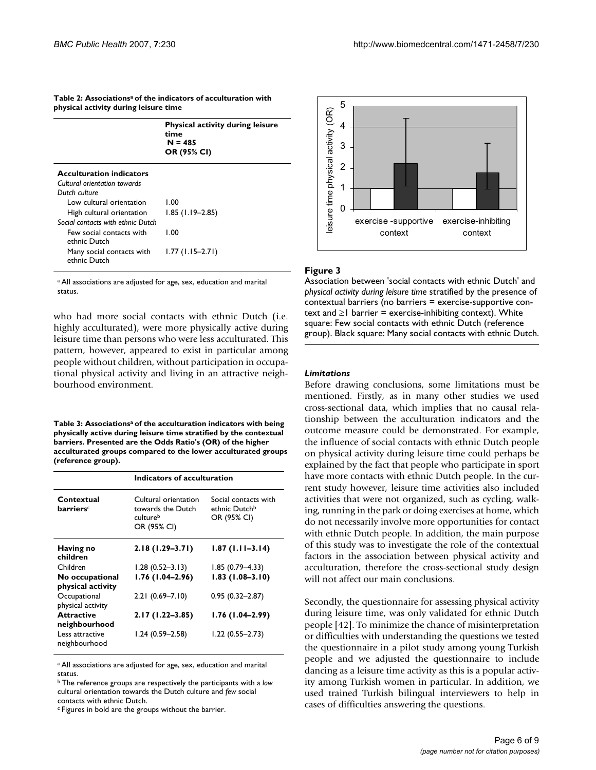| Table 2: Associationsª of the indicators of acculturation with |
|----------------------------------------------------------------|
| physical activity during leisure time                          |

|                                           | <b>Physical activity during leisure</b><br>time<br>$N = 485$<br>OR (95% CI) |
|-------------------------------------------|-----------------------------------------------------------------------------|
| <b>Acculturation indicators</b>           |                                                                             |
| Cultural orientation towards              |                                                                             |
| Dutch culture                             |                                                                             |
| Low cultural orientation                  | 1.00                                                                        |
| High cultural orientation                 | $1.85$ (1.19-2.85)                                                          |
| Social contacts with ethnic Dutch         |                                                                             |
| Few social contacts with<br>ethnic Dutch  | 1.00                                                                        |
| Many social contacts with<br>ethnic Dutch | $1.77(1.15-2.71)$                                                           |

a All associations are adjusted for age, sex, education and marital status.

who had more social contacts with ethnic Dutch (i.e. highly acculturated), were more physically active during leisure time than persons who were less acculturated. This pattern, however, appeared to exist in particular among people without children, without participation in occupational physical activity and living in an attractive neighbourhood environment.

**Table 3: Associationsa of the acculturation indicators with being physically active during leisure time stratified by the contextual barriers. Presented are the Odds Ratio's (OR) of the higher acculturated groups compared to the lower acculturated groups (reference group).**

|                                            | Indicators of acculturation                                          |                                                                  |  |
|--------------------------------------------|----------------------------------------------------------------------|------------------------------------------------------------------|--|
| Contextual<br><b>barriers</b> <sup>c</sup> | Cultural orientation<br>towards the Dutch<br>cultureb<br>OR (95% CI) | Social contacts with<br>ethnic Dutch <sup>b</sup><br>OR (95% CI) |  |
| Having no<br>children                      | $2.18(1.29 - 3.71)$                                                  | $1.87(1.11-3.14)$                                                |  |
| Children                                   | $1.28(0.52 - 3.13)$                                                  | $1.85(0.79 - 4.33)$                                              |  |
| No occupational<br>physical activity       | $1.76(1.04 - 2.96)$                                                  | $1.83(1.08 - 3.10)$                                              |  |
| Occupational<br>physical activity          | $2.21(0.69 - 7.10)$                                                  | $0.95(0.32 - 2.87)$                                              |  |
| <b>Attractive</b><br>neighbourhood         | $2.17(1.22 - 3.85)$                                                  | $1.76(1.04-2.99)$                                                |  |
| Less attractive<br>neighbourhood           | $1.24(0.59 - 2.58)$                                                  | $1.22(0.55 - 2.73)$                                              |  |

<sup>a</sup> All associations are adjusted for age, sex, education and marital status.

b The reference groups are respectively the participants with a *low*  cultural orientation towards the Dutch culture and *few* social contacts with ethnic Dutch.

c Figures in bold are the groups without the barrier.



#### Figure 3

Association between 'social contacts with ethnic Dutch' and *physical activity during leisure time* stratified by the presence of contextual barriers (no barriers = exercise-supportive context and  $\geq 1$  barrier = exercise-inhibiting context). White square: Few social contacts with ethnic Dutch (reference group). Black square: Many social contacts with ethnic Dutch.

#### *Limitations*

Before drawing conclusions, some limitations must be mentioned. Firstly, as in many other studies we used cross-sectional data, which implies that no causal relationship between the acculturation indicators and the outcome measure could be demonstrated. For example, the influence of social contacts with ethnic Dutch people on physical activity during leisure time could perhaps be explained by the fact that people who participate in sport have more contacts with ethnic Dutch people. In the current study however, leisure time activities also included activities that were not organized, such as cycling, walking, running in the park or doing exercises at home, which do not necessarily involve more opportunities for contact with ethnic Dutch people. In addition, the main purpose of this study was to investigate the role of the contextual factors in the association between physical activity and acculturation, therefore the cross-sectional study design will not affect our main conclusions.

Secondly, the questionnaire for assessing physical activity during leisure time, was only validated for ethnic Dutch people [42]. To minimize the chance of misinterpretation or difficulties with understanding the questions we tested the questionnaire in a pilot study among young Turkish people and we adjusted the questionnaire to include dancing as a leisure time activity as this is a popular activity among Turkish women in particular. In addition, we used trained Turkish bilingual interviewers to help in cases of difficulties answering the questions.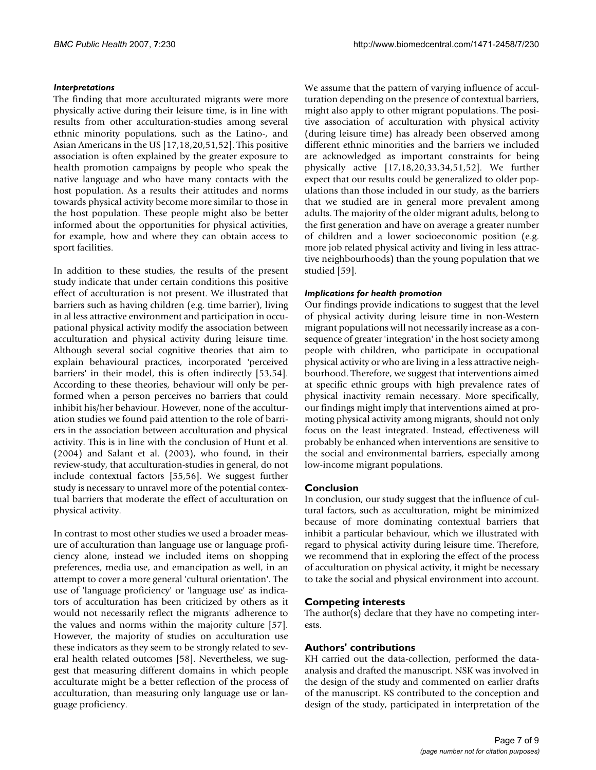# *Interpretations*

The finding that more acculturated migrants were more physically active during their leisure time, is in line with results from other acculturation-studies among several ethnic minority populations, such as the Latino-, and Asian Americans in the US [17,18,20,51,52]. This positive association is often explained by the greater exposure to health promotion campaigns by people who speak the native language and who have many contacts with the host population. As a results their attitudes and norms towards physical activity become more similar to those in the host population. These people might also be better informed about the opportunities for physical activities, for example, how and where they can obtain access to sport facilities.

In addition to these studies, the results of the present study indicate that under certain conditions this positive effect of acculturation is not present. We illustrated that barriers such as having children (e.g. time barrier), living in al less attractive environment and participation in occupational physical activity modify the association between acculturation and physical activity during leisure time. Although several social cognitive theories that aim to explain behavioural practices, incorporated 'perceived barriers' in their model, this is often indirectly [53,54]. According to these theories, behaviour will only be performed when a person perceives no barriers that could inhibit his/her behaviour. However, none of the acculturation studies we found paid attention to the role of barriers in the association between acculturation and physical activity. This is in line with the conclusion of Hunt et al. (2004) and Salant et al. (2003), who found, in their review-study, that acculturation-studies in general, do not include contextual factors [55,56]. We suggest further study is necessary to unravel more of the potential contextual barriers that moderate the effect of acculturation on physical activity.

In contrast to most other studies we used a broader measure of acculturation than language use or language proficiency alone, instead we included items on shopping preferences, media use, and emancipation as well, in an attempt to cover a more general 'cultural orientation'. The use of 'language proficiency' or 'language use' as indicators of acculturation has been criticized by others as it would not necessarily reflect the migrants' adherence to the values and norms within the majority culture [57]. However, the majority of studies on acculturation use these indicators as they seem to be strongly related to several health related outcomes [58]. Nevertheless, we suggest that measuring different domains in which people acculturate might be a better reflection of the process of acculturation, than measuring only language use or language proficiency.

We assume that the pattern of varying influence of acculturation depending on the presence of contextual barriers, might also apply to other migrant populations. The positive association of acculturation with physical activity (during leisure time) has already been observed among different ethnic minorities and the barriers we included are acknowledged as important constraints for being physically active [17,18,20,33,34,51,52]. We further expect that our results could be generalized to older populations than those included in our study, as the barriers that we studied are in general more prevalent among adults. The majority of the older migrant adults, belong to the first generation and have on average a greater number of children and a lower socioeconomic position (e.g. more job related physical activity and living in less attractive neighbourhoods) than the young population that we studied [59].

#### *Implications for health promotion*

Our findings provide indications to suggest that the level of physical activity during leisure time in non-Western migrant populations will not necessarily increase as a consequence of greater 'integration' in the host society among people with children, who participate in occupational physical activity or who are living in a less attractive neighbourhood. Therefore, we suggest that interventions aimed at specific ethnic groups with high prevalence rates of physical inactivity remain necessary. More specifically, our findings might imply that interventions aimed at promoting physical activity among migrants, should not only focus on the least integrated. Instead, effectiveness will probably be enhanced when interventions are sensitive to the social and environmental barriers, especially among low-income migrant populations.

# **Conclusion**

In conclusion, our study suggest that the influence of cultural factors, such as acculturation, might be minimized because of more dominating contextual barriers that inhibit a particular behaviour, which we illustrated with regard to physical activity during leisure time. Therefore, we recommend that in exploring the effect of the process of acculturation on physical activity, it might be necessary to take the social and physical environment into account.

# **Competing interests**

The author(s) declare that they have no competing interests.

# **Authors' contributions**

KH carried out the data-collection, performed the dataanalysis and drafted the manuscript. NSK was involved in the design of the study and commented on earlier drafts of the manuscript. KS contributed to the conception and design of the study, participated in interpretation of the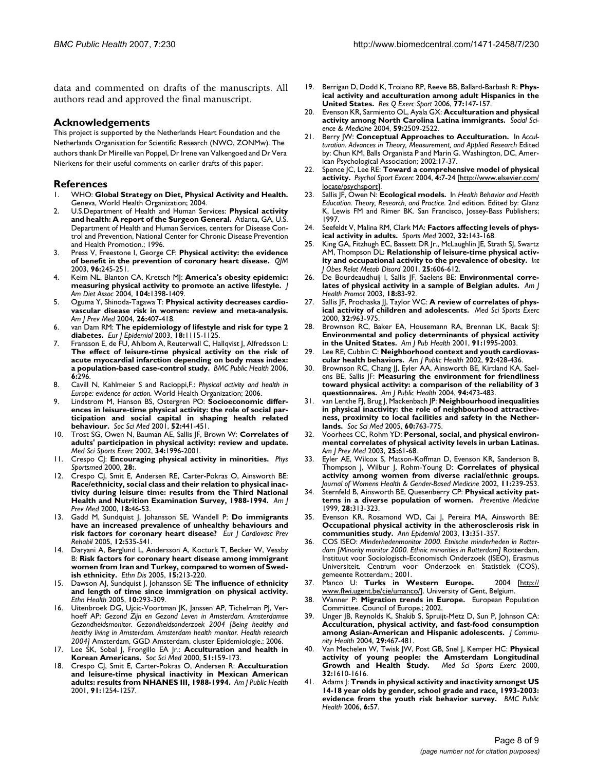data and commented on drafts of the manuscripts. All authors read and approved the final manuscript.

#### **Acknowledgements**

This project is supported by the Netherlands Heart Foundation and the Netherlands Organisation for Scientific Research (NWO, ZONMw). The authors thank Dr Mireille van Poppel, Dr Irene van Valkengoed and Dr Vera Nierkens for their useful comments on earlier drafts of this paper.

#### **References**

- 1. WHO: **Global Strategy on Diet, Physical Activity and Health.** Geneva, World Health Organization; 2004.
- 2. U.S.Department of Health and Human Services: **Physical activity and health: A report of the Surgeon General.** Atlanta, GA, U.S. Department of Health and Human Services, centers for Disease Control and Prevention, National Center for Chronic Disease Prevention and Health Promotion.; 1996.
- 3. Press V, Freestone I, George CF: **[Physical activity: the evidence](http://www.ncbi.nlm.nih.gov/entrez/query.fcgi?cmd=Retrieve&db=PubMed&dopt=Abstract&list_uids=12651969) [of benefit in the prevention of coronary heart disease.](http://www.ncbi.nlm.nih.gov/entrez/query.fcgi?cmd=Retrieve&db=PubMed&dopt=Abstract&list_uids=12651969)** *QJM* 2003, **96:**245-251.
- 4. Keim NL, Blanton CA, Kretsch MJ: **[America's obesity epidemic:](http://www.ncbi.nlm.nih.gov/entrez/query.fcgi?cmd=Retrieve&db=PubMed&dopt=Abstract&list_uids=15354157) [measuring physical activity to promote an active lifestyle.](http://www.ncbi.nlm.nih.gov/entrez/query.fcgi?cmd=Retrieve&db=PubMed&dopt=Abstract&list_uids=15354157)** *J Am Diet Assoc* 2004, **104:**1398-1409.
- 5. Oguma Y, Shinoda-Tagawa T: **[Physical activity decreases cardio](http://www.ncbi.nlm.nih.gov/entrez/query.fcgi?cmd=Retrieve&db=PubMed&dopt=Abstract&list_uids=15165657)[vascular disease risk in women: review and meta-analysis.](http://www.ncbi.nlm.nih.gov/entrez/query.fcgi?cmd=Retrieve&db=PubMed&dopt=Abstract&list_uids=15165657)** *Am J Prev Med* 2004, **26:**407-418.
- 6. van Dam RM: **[The epidemiology of lifestyle and risk for type 2](http://www.ncbi.nlm.nih.gov/entrez/query.fcgi?cmd=Retrieve&db=PubMed&dopt=Abstract&list_uids=14758868) [diabetes.](http://www.ncbi.nlm.nih.gov/entrez/query.fcgi?cmd=Retrieve&db=PubMed&dopt=Abstract&list_uids=14758868)** *Eur J Epidemiol* 2003, **18:**1115-1125.
- 7. Fransson E, de FU, Ahlbom A, Reuterwall C, Hallqvist J, Alfredsson L: **The effect of leisure-time physical activity on the risk of [acute myocardial infarction depending on body mass index:](http://www.ncbi.nlm.nih.gov/entrez/query.fcgi?cmd=Retrieve&db=PubMed&dopt=Abstract&list_uids=17156418) [a population-based case-control study.](http://www.ncbi.nlm.nih.gov/entrez/query.fcgi?cmd=Retrieve&db=PubMed&dopt=Abstract&list_uids=17156418)** *BMC Public Health* 2006, **6:**296.
- 8. Cavill N, Kahlmeier S and Racioppi,F.: *Physical activity and health in Europe: evidence for action.* World Health Organization; 2006.
- 9. Lindstrom M, Hanson BS, Ostergren PO: **[Socioeconomic differ](http://www.ncbi.nlm.nih.gov/entrez/query.fcgi?cmd=Retrieve&db=PubMed&dopt=Abstract&list_uids=11330778)ences in leisure-time physical activity: the role of social par[ticipation and social capital in shaping health related](http://www.ncbi.nlm.nih.gov/entrez/query.fcgi?cmd=Retrieve&db=PubMed&dopt=Abstract&list_uids=11330778) [behaviour.](http://www.ncbi.nlm.nih.gov/entrez/query.fcgi?cmd=Retrieve&db=PubMed&dopt=Abstract&list_uids=11330778)** *Soc Sci Med* 2001, **52:**441-451.
- 10. Trost SG, Owen N, Bauman AE, Sallis JF, Brown W: **[Correlates of](http://www.ncbi.nlm.nih.gov/entrez/query.fcgi?cmd=Retrieve&db=PubMed&dopt=Abstract&list_uids=12471307) [adults' participation in physical activity: review and update.](http://www.ncbi.nlm.nih.gov/entrez/query.fcgi?cmd=Retrieve&db=PubMed&dopt=Abstract&list_uids=12471307)** *Med Sci Sports Exerc* 2002, **34:**1996-2001.
- 11. Crespo CJ: **Encouraging physical activity in minorities.** *Phys Sportsmed* 2000, **28:**.
- 12. Crespo CJ, Smit E, Andersen RE, Carter-Pokras O, Ainsworth BE: **Race/ethnicity, social class and their relation to physical inac[tivity during leisure time: results from the Third National](http://www.ncbi.nlm.nih.gov/entrez/query.fcgi?cmd=Retrieve&db=PubMed&dopt=Abstract&list_uids=10808982) [Health and Nutrition Examination Survey, 1988-1994.](http://www.ncbi.nlm.nih.gov/entrez/query.fcgi?cmd=Retrieve&db=PubMed&dopt=Abstract&list_uids=10808982)** *Am J Prev Med* 2000, **18:**46-53.
- 13. Gadd M, Sundquist J, Johansson SE, Wandell P: **[Do immigrants](http://www.ncbi.nlm.nih.gov/entrez/query.fcgi?cmd=Retrieve&db=PubMed&dopt=Abstract&list_uids=16319542) [have an increased prevalence of unhealthy behaviours and](http://www.ncbi.nlm.nih.gov/entrez/query.fcgi?cmd=Retrieve&db=PubMed&dopt=Abstract&list_uids=16319542) [risk factors for coronary heart disease?](http://www.ncbi.nlm.nih.gov/entrez/query.fcgi?cmd=Retrieve&db=PubMed&dopt=Abstract&list_uids=16319542)** *Eur J Cardiovasc Prev Rehabil* 2005, **12:**535-541.
- 14. Daryani A, Berglund L, Andersson A, Kocturk T, Becker W, Vessby B: **[Risk factors for coronary heart disease among immigrant](http://www.ncbi.nlm.nih.gov/entrez/query.fcgi?cmd=Retrieve&db=PubMed&dopt=Abstract&list_uids=15825967) [women from Iran and Turkey, compared to women of Swed](http://www.ncbi.nlm.nih.gov/entrez/query.fcgi?cmd=Retrieve&db=PubMed&dopt=Abstract&list_uids=15825967)[ish ethnicity.](http://www.ncbi.nlm.nih.gov/entrez/query.fcgi?cmd=Retrieve&db=PubMed&dopt=Abstract&list_uids=15825967)** *Ethn Dis* 2005, **15:**213-220.
- 15. Dawson AJ, Sundquist J, Johansson SE: **[The influence of ethnicity](http://www.ncbi.nlm.nih.gov/entrez/query.fcgi?cmd=Retrieve&db=PubMed&dopt=Abstract&list_uids=16191729) [and length of time since immigration on physical activity.](http://www.ncbi.nlm.nih.gov/entrez/query.fcgi?cmd=Retrieve&db=PubMed&dopt=Abstract&list_uids=16191729)** *Ethn Health* 2005, **10:**293-309.
- 16. Uitenbroek DG, Ujcic-Voortman JK, Janssen AP, Tichelman PJ, Verhoeff AP: *Gezond Zijn en Gezond Leven in Amsterdam. Amsterdamse Gezondheidsmonitor. Gezondheidsonderzoek 2004 [Being healthy and healthy living in Amsterdam. Amsterdam health monitor. Health research 2004]* Amsterdam, GGD Amsterdam, cluster Epidemiologie.; 2006.
- 17. Lee SK, Sobal J, Frongillo EA Jr.: **[Acculturation and health in](http://www.ncbi.nlm.nih.gov/entrez/query.fcgi?cmd=Retrieve&db=PubMed&dopt=Abstract&list_uids=10832565) [Korean Americans.](http://www.ncbi.nlm.nih.gov/entrez/query.fcgi?cmd=Retrieve&db=PubMed&dopt=Abstract&list_uids=10832565)** *Soc Sci Med* 2000, **51:**159-173.
- 18. Crespo CJ, Smit E, Carter-Pokras O, Andersen R: **[Acculturation](http://www.ncbi.nlm.nih.gov/entrez/query.fcgi?cmd=Retrieve&db=PubMed&dopt=Abstract&list_uids=11499114) [and leisure-time physical inactivity in Mexican American](http://www.ncbi.nlm.nih.gov/entrez/query.fcgi?cmd=Retrieve&db=PubMed&dopt=Abstract&list_uids=11499114) [adults: results from NHANES III, 1988-1994.](http://www.ncbi.nlm.nih.gov/entrez/query.fcgi?cmd=Retrieve&db=PubMed&dopt=Abstract&list_uids=11499114)** *Am J Public Health* 2001, **91:**1254-1257.
- 19. Berrigan D, Dodd K, Troiano RP, Reeve BB, Ballard-Barbash R: **[Phys](http://www.ncbi.nlm.nih.gov/entrez/query.fcgi?cmd=Retrieve&db=PubMed&dopt=Abstract&list_uids=16898271)[ical activity and acculturation among adult Hispanics in the](http://www.ncbi.nlm.nih.gov/entrez/query.fcgi?cmd=Retrieve&db=PubMed&dopt=Abstract&list_uids=16898271) [United States.](http://www.ncbi.nlm.nih.gov/entrez/query.fcgi?cmd=Retrieve&db=PubMed&dopt=Abstract&list_uids=16898271)** *Res Q Exerc Sport* 2006, **77:**147-157.
- 20. Evenson KR, Sarmiento OL, Ayala GX: **Acculturation and physical activity among North Carolina Latina immigrants.** *Social Science & Medicine* 2004, **59:**2509-2522.
- 21. Berry JW: **Conceptual Approaches to Acculturation.** In *Acculturation. Advances in Theory, Measurement, and Applied Research* Edited by: Chun KM, Balls Organista P and Marin G. Washington, DC, American Psychological Association; 2002:17-37.
- 22. Spence JC, Lee RE: **Toward a comprehensive model of physical activity.** *Psychol Sport Excerc* 2004, **4:**7-24 [[http://www.elsevier.com/](http://www.elsevier.com/locate/psychsport) [locate/psychsport](http://www.elsevier.com/locate/psychsport)].
- 23. Sallis JF, Owen N: **Ecological models.** In *Health Behavior and Health Education. Theory, Research, and Practice.* 2nd edition. Edited by: Glanz K, Lewis FM and Rimer BK. San Francisco, Jossey-Bass Publishers; 1997.
- 24. Seefeldt V, Malina RM, Clark MA: **[Factors affecting levels of phys](http://www.ncbi.nlm.nih.gov/entrez/query.fcgi?cmd=Retrieve&db=PubMed&dopt=Abstract&list_uids=11839079)[ical activity in adults.](http://www.ncbi.nlm.nih.gov/entrez/query.fcgi?cmd=Retrieve&db=PubMed&dopt=Abstract&list_uids=11839079)** *Sports Med* 2002, **32:**143-168.
- 25. King GA, Fitzhugh EC, Bassett DR Jr., McLaughlin JE, Strath SJ, Swartz AM, Thompson DL: **[Relationship of leisure-time physical activ](http://www.ncbi.nlm.nih.gov/entrez/query.fcgi?cmd=Retrieve&db=PubMed&dopt=Abstract&list_uids=11360141)[ity and occupational activity to the prevalence of obesity.](http://www.ncbi.nlm.nih.gov/entrez/query.fcgi?cmd=Retrieve&db=PubMed&dopt=Abstract&list_uids=11360141)** *Int J Obes Relat Metab Disord* 2001, **25:**606-612.
- 26. De Bourdeaudhuij I, Sallis JF, Saelens BE: **[Environmental corre](http://www.ncbi.nlm.nih.gov/entrez/query.fcgi?cmd=Retrieve&db=PubMed&dopt=Abstract&list_uids=13677966)[lates of physical activity in a sample of Belgian adults.](http://www.ncbi.nlm.nih.gov/entrez/query.fcgi?cmd=Retrieve&db=PubMed&dopt=Abstract&list_uids=13677966)** *Am J Health Promot* 2003, **18:**83-92.
- 27. Sallis JF, Prochaska JJ, Taylor WC: **[A review of correlates of phys](http://www.ncbi.nlm.nih.gov/entrez/query.fcgi?cmd=Retrieve&db=PubMed&dopt=Abstract&list_uids=10795788)[ical activity of children and adolescents.](http://www.ncbi.nlm.nih.gov/entrez/query.fcgi?cmd=Retrieve&db=PubMed&dopt=Abstract&list_uids=10795788)** *Med Sci Sports Exerc* 2000, **32:**963-975.
- 28. Brownson RC, Baker EA, Housemann RA, Brennan LK, Bacak SJ: **[Environmental and policy determinants of physical activity](http://www.ncbi.nlm.nih.gov/entrez/query.fcgi?cmd=Retrieve&db=PubMed&dopt=Abstract&list_uids=11726382) [in the United States.](http://www.ncbi.nlm.nih.gov/entrez/query.fcgi?cmd=Retrieve&db=PubMed&dopt=Abstract&list_uids=11726382)** *Am J Pub Health* 2001, **91:**1995-2003.
- 29. Lee RE, Cubbin C: **[Neighborhood context and youth cardiovas](http://www.ncbi.nlm.nih.gov/entrez/query.fcgi?cmd=Retrieve&db=PubMed&dopt=Abstract&list_uids=11867325)[cular health behaviors.](http://www.ncbi.nlm.nih.gov/entrez/query.fcgi?cmd=Retrieve&db=PubMed&dopt=Abstract&list_uids=11867325)** *Am J Public Health* 2002, **92:**428-436.
- 30. Brownson RC, Chang JJ, Eyler AA, Ainsworth BE, Kirtland KA, Saelens BE, Sallis JF: **[Measuring the environment for friendliness](http://www.ncbi.nlm.nih.gov/entrez/query.fcgi?cmd=Retrieve&db=PubMed&dopt=Abstract&list_uids=14998817) [toward physical activity: a comparison of the reliability of 3](http://www.ncbi.nlm.nih.gov/entrez/query.fcgi?cmd=Retrieve&db=PubMed&dopt=Abstract&list_uids=14998817) [questionnaires.](http://www.ncbi.nlm.nih.gov/entrez/query.fcgi?cmd=Retrieve&db=PubMed&dopt=Abstract&list_uids=14998817)** *Am J Public Health* 2004, **94:**473-483.
- 31. van Lenthe FJ, Brug J, Mackenbach JP: **[Neighbourhood inequalities](http://www.ncbi.nlm.nih.gov/entrez/query.fcgi?cmd=Retrieve&db=PubMed&dopt=Abstract&list_uids=15571894) in physical inactivity: the role of neighbourhood attractive[ness, proximity to local facilities and safety in the Nether](http://www.ncbi.nlm.nih.gov/entrez/query.fcgi?cmd=Retrieve&db=PubMed&dopt=Abstract&list_uids=15571894)[lands.](http://www.ncbi.nlm.nih.gov/entrez/query.fcgi?cmd=Retrieve&db=PubMed&dopt=Abstract&list_uids=15571894)** *Soc Sci Med* 2005, **60:**763-775.
- 32. Voorhees CC, Rohm YD: **[Personal, social, and physical environ](http://www.ncbi.nlm.nih.gov/entrez/query.fcgi?cmd=Retrieve&db=PubMed&dopt=Abstract&list_uids=14499811)[mental correlates of physical activity levels in urban Latinas.](http://www.ncbi.nlm.nih.gov/entrez/query.fcgi?cmd=Retrieve&db=PubMed&dopt=Abstract&list_uids=14499811)** *Am J Prev Med* 2003, **25:**61-68.
- Eyler AE, Wilcox S, Matson-Koffman D, Evenson KR, Sanderson B, Thompson J, Wilbur J, Rohm-Young D: **Correlates of physical activity among women from diverse racial/ethnic groups.** *Journal of Womens Health & Gender-Based Medicine* 2002, **11:**239-253.
- 34. Sternfeld B, Ainsworth BE, Quesenberry CP: **[Physical activity pat](http://www.ncbi.nlm.nih.gov/entrez/query.fcgi?cmd=Retrieve&db=PubMed&dopt=Abstract&list_uids=10072751)[terns in a diverse population of women.](http://www.ncbi.nlm.nih.gov/entrez/query.fcgi?cmd=Retrieve&db=PubMed&dopt=Abstract&list_uids=10072751)** *Preventive Medicine* 1999, **28:**313-323.
- 35. Evenson KR, Rosamond WD, Cai J, Pereira MA, Ainsworth BE: **[Occupational physical activity in the atherosclerosis risk in](http://www.ncbi.nlm.nih.gov/entrez/query.fcgi?cmd=Retrieve&db=PubMed&dopt=Abstract&list_uids=12821274) [communities study.](http://www.ncbi.nlm.nih.gov/entrez/query.fcgi?cmd=Retrieve&db=PubMed&dopt=Abstract&list_uids=12821274)** *Ann Epidemiol* 2003, **13:**351-357.
- 36. COS ISEO: *Minderhedenmonitor 2000. Etnische minderheden in Rotterdam [Minority monitor 2000. Ethnic minorities in Rotterdam]* Rotterdam, Instituut voor Sociologisch-Economisch Onderzoek (ISEO), Erasmus Universiteit. Centrum voor Onderzoek en Statistiek (COS), gemeente Rotterdam.; 2001.
- 37. Manco U: **Turks in Western Europe.** 2004 [\[http://](http://www.flwi.ugent.be/cie/umanco/) [www.flwi.ugent.be/cie/umanco/\]](http://www.flwi.ugent.be/cie/umanco/). University of Gent, Belgium.
- 38. Wanner P: **Migration trends in Europe.** European Population Committee. Council of Europe.; 2002.
- 39. Unger JB, Reynolds K, Shakib S, Spruijt-Metz D, Sun P, Johnson CA: **[Acculturation, physical activity, and fast-food consumption](http://www.ncbi.nlm.nih.gov/entrez/query.fcgi?cmd=Retrieve&db=PubMed&dopt=Abstract&list_uids=15587346) [among Asian-American and Hispanic adolescents.](http://www.ncbi.nlm.nih.gov/entrez/query.fcgi?cmd=Retrieve&db=PubMed&dopt=Abstract&list_uids=15587346)** *J Community Health* 2004, **29:**467-481.
- 40. Van Mechelen W, Twisk JW, Post GB, Snel J, Kemper HC: **[Physical](http://www.ncbi.nlm.nih.gov/entrez/query.fcgi?cmd=Retrieve&db=PubMed&dopt=Abstract&list_uids=10994913) [activity of young people: the Amsterdam Longitudinal](http://www.ncbi.nlm.nih.gov/entrez/query.fcgi?cmd=Retrieve&db=PubMed&dopt=Abstract&list_uids=10994913) [Growth and Health Study.](http://www.ncbi.nlm.nih.gov/entrez/query.fcgi?cmd=Retrieve&db=PubMed&dopt=Abstract&list_uids=10994913)** *Med Sci Sports Exerc* 2000, **32:**1610-1616.
- 41. Adams J: **[Trends in physical activity and inactivity amongst US](http://www.ncbi.nlm.nih.gov/entrez/query.fcgi?cmd=Retrieve&db=PubMed&dopt=Abstract&list_uids=16522203) [14-18 year olds by gender, school grade and race, 1993-2003:](http://www.ncbi.nlm.nih.gov/entrez/query.fcgi?cmd=Retrieve&db=PubMed&dopt=Abstract&list_uids=16522203) [evidence from the youth risk behavior survey.](http://www.ncbi.nlm.nih.gov/entrez/query.fcgi?cmd=Retrieve&db=PubMed&dopt=Abstract&list_uids=16522203)** *BMC Public Health* 2006, **6:**57.